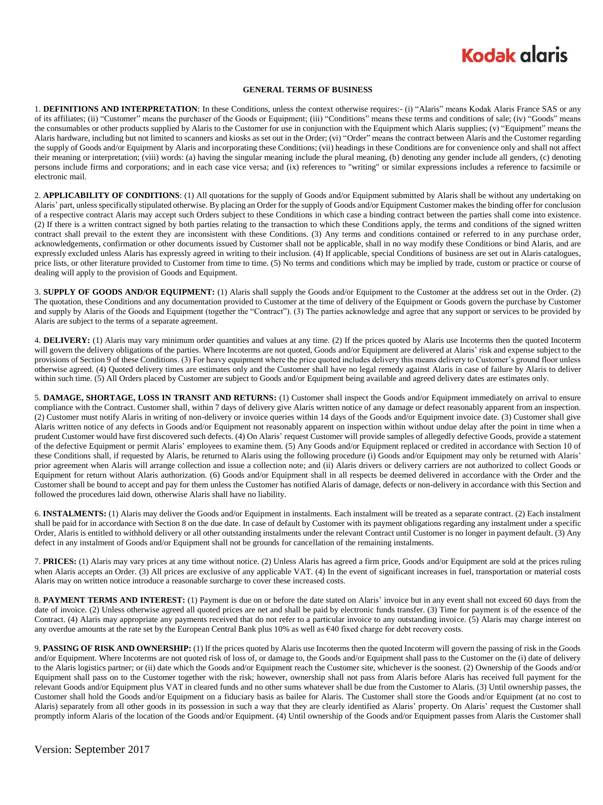## **Kodak alaris**

#### **GENERAL TERMS OF BUSINESS**

1. **DEFINITIONS AND INTERPRETATION**: In these Conditions, unless the context otherwise requires:- (i) "Alaris" means Kodak Alaris France SAS or any of its affiliates; (ii) "Customer" means the purchaser of the Goods or Equipment; (iii) "Conditions" means these terms and conditions of sale; (iv) "Goods" means the consumables or other products supplied by Alaris to the Customer for use in conjunction with the Equipment which Alaris supplies; (v) "Equipment" means the Alaris hardware, including but not limited to scanners and kiosks as set out in the Order; (vi) "Order" means the contract between Alaris and the Customer regarding the supply of Goods and/or Equipment by Alaris and incorporating these Conditions; (vii) headings in these Conditions are for convenience only and shall not affect their meaning or interpretation; (viii) words: (a) having the singular meaning include the plural meaning, (b) denoting any gender include all genders, (c) denoting persons include firms and corporations; and in each case vice versa; and (ix) references to "writing" or similar expressions includes a reference to facsimile or electronic mail.

2. **APPLICABILITY OF CONDITIONS**: (1) All quotations for the supply of Goods and/or Equipment submitted by Alaris shall be without any undertaking on Alaris' part, unless specifically stipulated otherwise. By placing an Order for the supply of Goods and/or Equipment Customer makes the binding offer for conclusion of a respective contract Alaris may accept such Orders subject to these Conditions in which case a binding contract between the parties shall come into existence. (2) If there is a written contract signed by both parties relating to the transaction to which these Conditions apply, the terms and conditions of the signed written contract shall prevail to the extent they are inconsistent with these Conditions. (3) Any terms and conditions contained or referred to in any purchase order, acknowledgements, confirmation or other documents issued by Customer shall not be applicable, shall in no way modify these Conditions or bind Alaris, and are expressly excluded unless Alaris has expressly agreed in writing to their inclusion. (4) If applicable, special Conditions of business are set out in Alaris catalogues, price lists, or other literature provided to Customer from time to time. (5) No terms and conditions which may be implied by trade, custom or practice or course of dealing will apply to the provision of Goods and Equipment.

3. **SUPPLY OF GOODS AND/OR EQUIPMENT:** (1) Alaris shall supply the Goods and/or Equipment to the Customer at the address set out in the Order. (2) The quotation, these Conditions and any documentation provided to Customer at the time of delivery of the Equipment or Goods govern the purchase by Customer and supply by Alaris of the Goods and Equipment (together the "Contract"). (3) The parties acknowledge and agree that any support or services to be provided by Alaris are subject to the terms of a separate agreement.

4. **DELIVERY:** (1) Alaris may vary minimum order quantities and values at any time. (2) If the prices quoted by Alaris use Incoterms then the quoted Incoterm will govern the delivery obligations of the parties. Where Incoterms are not quoted, Goods and/or Equipment are delivered at Alaris' risk and expense subject to the provisions of Section 9 of these Conditions. (3) For heavy equipment where the price quoted includes delivery this means delivery to Customer's ground floor unless otherwise agreed. (4) Quoted delivery times are estimates only and the Customer shall have no legal remedy against Alaris in case of failure by Alaris to deliver within such time. (5) All Orders placed by Customer are subject to Goods and/or Equipment being available and agreed delivery dates are estimates only.

5. **DAMAGE, SHORTAGE, LOSS IN TRANSIT AND RETURNS:** (1) Customer shall inspect the Goods and/or Equipment immediately on arrival to ensure compliance with the Contract. Customer shall, within 7 days of delivery give Alaris written notice of any damage or defect reasonably apparent from an inspection. (2) Customer must notify Alaris in writing of non-delivery or invoice queries within 14 days of the Goods and/or Equipment invoice date. (3) Customer shall give Alaris written notice of any defects in Goods and/or Equipment not reasonably apparent on inspection within without undue delay after the point in time when a prudent Customer would have first discovered such defects. (4) On Alaris' request Customer will provide samples of allegedly defective Goods, provide a statement of the defective Equipment or permit Alaris' employees to examine them. (5) Any Goods and/or Equipment replaced or credited in accordance with Section 10 of these Conditions shall, if requested by Alaris, be returned to Alaris using the following procedure (i) Goods and/or Equipment may only be returned with Alaris' prior agreement when Alaris will arrange collection and issue a collection note; and (ii) Alaris drivers or delivery carriers are not authorized to collect Goods or Equipment for return without Alaris authorization. (6) Goods and/or Equipment shall in all respects be deemed delivered in accordance with the Order and the Customer shall be bound to accept and pay for them unless the Customer has notified Alaris of damage, defects or non-delivery in accordance with this Section and followed the procedures laid down, otherwise Alaris shall have no liability.

6. **INSTALMENTS:** (1) Alaris may deliver the Goods and/or Equipment in instalments. Each instalment will be treated as a separate contract. (2) Each instalment shall be paid for in accordance with Section 8 on the due date. In case of default by Customer with its payment obligations regarding any instalment under a specific Order, Alaris is entitled to withhold delivery or all other outstanding instalments under the relevant Contract until Customer is no longer in payment default. (3) Any defect in any instalment of Goods and/or Equipment shall not be grounds for cancellation of the remaining instalments.

7. **PRICES:** (1) Alaris may vary prices at any time without notice. (2) Unless Alaris has agreed a firm price, Goods and/or Equipment are sold at the prices ruling when Alaris accepts an Order. (3) All prices are exclusive of any applicable VAT. (4) In the event of significant increases in fuel, transportation or material costs Alaris may on written notice introduce a reasonable surcharge to cover these increased costs.

8. PAYMENT TERMS AND INTEREST: (1) Payment is due on or before the date stated on Alaris' invoice but in any event shall not exceed 60 days from the date of invoice. (2) Unless otherwise agreed all quoted prices are net and shall be paid by electronic funds transfer. (3) Time for payment is of the essence of the Contract. (4) Alaris may appropriate any payments received that do not refer to a particular invoice to any outstanding invoice. (5) Alaris may charge interest on any overdue amounts at the rate set by the European Central Bank plus 10% as well as €40 fixed charge for debt recovery costs.

9. **PASSING OF RISK AND OWNERSHIP:** (1) If the prices quoted by Alaris use Incoterms then the quoted Incoterm will govern the passing of risk in the Goods and/or Equipment. Where Incoterms are not quoted risk of loss of, or damage to, the Goods and/or Equipment shall pass to the Customer on the (i) date of delivery to the Alaris logistics partner; or (ii) date which the Goods and/or Equipment reach the Customer site, whichever is the soonest. (2) Ownership of the Goods and/or Equipment shall pass on to the Customer together with the risk; however, ownership shall not pass from Alaris before Alaris has received full payment for the relevant Goods and/or Equipment plus VAT in cleared funds and no other sums whatever shall be due from the Customer to Alaris. (3) Until ownership passes, the Customer shall hold the Goods and/or Equipment on a fiduciary basis as bailee for Alaris. The Customer shall store the Goods and/or Equipment (at no cost to Alaris) separately from all other goods in its possession in such a way that they are clearly identified as Alaris' property. On Alaris' request the Customer shall promptly inform Alaris of the location of the Goods and/or Equipment. (4) Until ownership of the Goods and/or Equipment passes from Alaris the Customer shall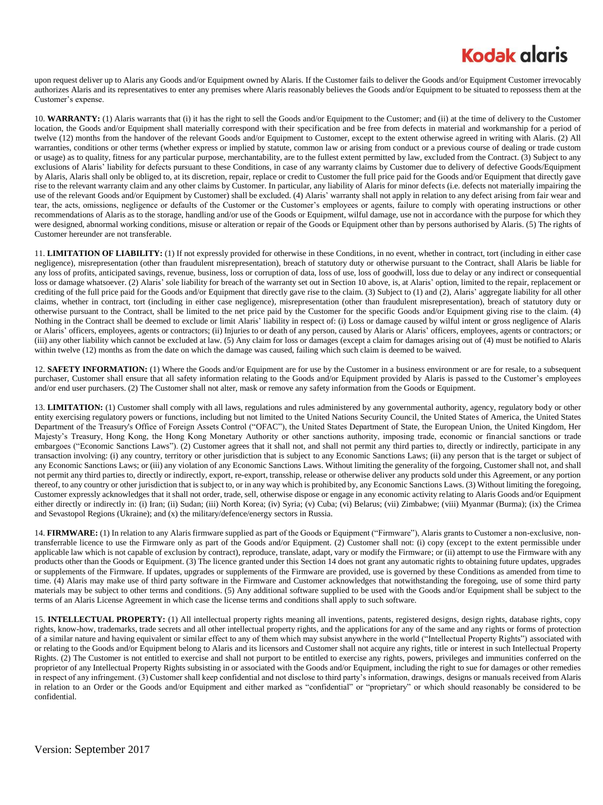## **Kodak glaris**

upon request deliver up to Alaris any Goods and/or Equipment owned by Alaris. If the Customer fails to deliver the Goods and/or Equipment Customer irrevocably authorizes Alaris and its representatives to enter any premises where Alaris reasonably believes the Goods and/or Equipment to be situated to repossess them at the Customer's expense.

10. **WARRANTY:** (1) Alaris warrants that (i) it has the right to sell the Goods and/or Equipment to the Customer; and (ii) at the time of delivery to the Customer location, the Goods and/or Equipment shall materially correspond with their specification and be free from defects in material and workmanship for a period of twelve (12) months from the handover of the relevant Goods and/or Equipment to Customer, except to the extent otherwise agreed in writing with Alaris. (2) All warranties, conditions or other terms (whether express or implied by statute, common law or arising from conduct or a previous course of dealing or trade custom or usage) as to quality, fitness for any particular purpose, merchantability, are to the fullest extent permitted by law, excluded from the Contract. (3) Subject to any exclusions of Alaris' liability for defects pursuant to these Conditions, in case of any warranty claims by Customer due to delivery of defective Goods/Equipment by Alaris, Alaris shall only be obliged to, at its discretion, repair, replace or credit to Customer the full price paid for the Goods and/or Equipment that directly gave rise to the relevant warranty claim and any other claims by Customer. In particular, any liability of Alaris for minor defects (i.e. defects not materially impairing the use of the relevant Goods and/or Equipment by Customer) shall be excluded. (4) Alaris' warranty shall not apply in relation to any defect arising from fair wear and tear, the acts, omissions, negligence or defaults of the Customer or the Customer's employees or agents, failure to comply with operating instructions or other recommendations of Alaris as to the storage, handling and/or use of the Goods or Equipment, wilful damage, use not in accordance with the purpose for which they were designed, abnormal working conditions, misuse or alteration or repair of the Goods or Equipment other than by persons authorised by Alaris. (5) The rights of Customer hereunder are not transferable.

11. **LIMITATION OF LIABILITY:** (1) If not expressly provided for otherwise in these Conditions, in no event, whether in contract, tort (including in either case negligence), misrepresentation (other than fraudulent misrepresentation), breach of statutory duty or otherwise pursuant to the Contract, shall Alaris be liable for any loss of profits, anticipated savings, revenue, business, loss or corruption of data, loss of use, loss of goodwill, loss due to delay or any indirect or consequential loss or damage whatsoever. (2) Alaris' sole liability for breach of the warranty set out in Section 10 above, is, at Alaris' option, limited to the repair, replacement or crediting of the full price paid for the Goods and/or Equipment that directly gave rise to the claim. (3) Subject to (1) and (2), Alaris' aggregate liability for all other claims, whether in contract, tort (including in either case negligence), misrepresentation (other than fraudulent misrepresentation), breach of statutory duty or otherwise pursuant to the Contract, shall be limited to the net price paid by the Customer for the specific Goods and/or Equipment giving rise to the claim. (4) Nothing in the Contract shall be deemed to exclude or limit Alaris' liability in respect of: (i) Loss or damage caused by wilful intent or gross negligence of Alaris or Alaris' officers, employees, agents or contractors; (ii) Injuries to or death of any person, caused by Alaris or Alaris' officers, employees, agents or contractors; or (iii) any other liability which cannot be excluded at law. (5) Any claim for loss or damages (except a claim for damages arising out of (4) must be notified to Alaris within twelve (12) months as from the date on which the damage was caused, failing which such claim is deemed to be waived.

12. **SAFETY INFORMATION:** (1) Where the Goods and/or Equipment are for use by the Customer in a business environment or are for resale, to a subsequent purchaser, Customer shall ensure that all safety information relating to the Goods and/or Equipment provided by Alaris is passed to the Customer's employees and/or end user purchasers. (2) The Customer shall not alter, mask or remove any safety information from the Goods or Equipment.

13. **LIMITATION:** (1) Customer shall comply with all laws, regulations and rules administered by any governmental authority, agency, regulatory body or other entity exercising regulatory powers or functions, including but not limited to the United Nations Security Council, the United States of America, the United States Department of the Treasury's Office of Foreign Assets Control ("OFAC"), the United States Department of State, the European Union, the United Kingdom, Her Majesty's Treasury, Hong Kong, the Hong Kong Monetary Authority or other sanctions authority, imposing trade, economic or financial sanctions or trade embargoes ("Economic Sanctions Laws"). (2) Customer agrees that it shall not, and shall not permit any third parties to, directly or indirectly, participate in any transaction involving: (i) any country, territory or other jurisdiction that is subject to any Economic Sanctions Laws; (ii) any person that is the target or subject of any Economic Sanctions Laws; or (iii) any violation of any Economic Sanctions Laws. Without limiting the generality of the forgoing, Customer shall not, and shall not permit any third parties to, directly or indirectly, export, re-export, transship, release or otherwise deliver any products sold under this Agreement, or any portion thereof, to any country or other jurisdiction that is subject to, or in any way which is prohibited by, any Economic Sanctions Laws. (3) Without limiting the foregoing, Customer expressly acknowledges that it shall not order, trade, sell, otherwise dispose or engage in any economic activity relating to Alaris Goods and/or Equipment either directly or indirectly in: (i) Iran; (ii) Sudan; (iii) North Korea; (iv) Syria; (v) Cuba; (vi) Belarus; (vii) Zimbabwe; (viii) Myanmar (Burma); (ix) the Crimea and Sevastopol Regions (Ukraine); and (x) the military/defence/energy sectors in Russia.

14. **FIRMWARE:** (1) In relation to any Alaris firmware supplied as part of the Goods or Equipment ("Firmware"), Alaris grants to Customer a non-exclusive, nontransferrable licence to use the Firmware only as part of the Goods and/or Equipment. (2) Customer shall not: (i) copy (except to the extent permissible under applicable law which is not capable of exclusion by contract), reproduce, translate, adapt, vary or modify the Firmware; or (ii) attempt to use the Firmware with any products other than the Goods or Equipment. (3) The licence granted under this Section 14 does not grant any automatic rights to obtaining future updates, upgrades or supplements of the Firmware. If updates, upgrades or supplements of the Firmware are provided, use is governed by these Conditions as amended from time to time. (4) Alaris may make use of third party software in the Firmware and Customer acknowledges that notwithstanding the foregoing, use of some third party materials may be subject to other terms and conditions. (5) Any additional software supplied to be used with the Goods and/or Equipment shall be subject to the terms of an Alaris License Agreement in which case the license terms and conditions shall apply to such software.

15. **INTELLECTUAL PROPERTY:** (1) All intellectual property rights meaning all inventions, patents, registered designs, design rights, database rights, copy rights, know-how, trademarks, trade secrets and all other intellectual property rights, and the applications for any of the same and any rights or forms of protection of a similar nature and having equivalent or similar effect to any of them which may subsist anywhere in the world ("Intellectual Property Rights") associated with or relating to the Goods and/or Equipment belong to Alaris and its licensors and Customer shall not acquire any rights, title or interest in such Intellectual Property Rights. (2) The Customer is not entitled to exercise and shall not purport to be entitled to exercise any rights, powers, privileges and immunities conferred on the proprietor of any Intellectual Property Rights subsisting in or associated with the Goods and/or Equipment, including the right to sue for damages or other remedies in respect of any infringement. (3) Customer shall keep confidential and not disclose to third party's information, drawings, designs or manuals received from Alaris in relation to an Order or the Goods and/or Equipment and either marked as "confidential" or "proprietary" or which should reasonably be considered to be confidential.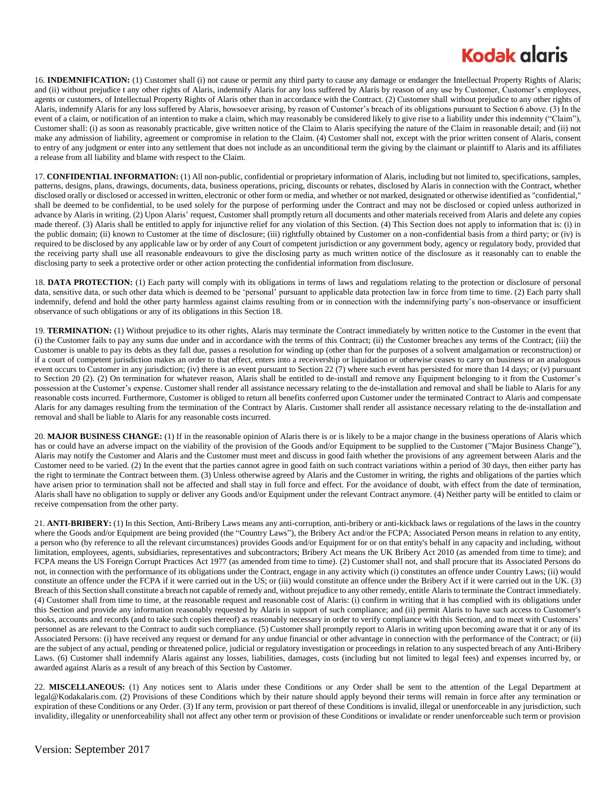# **Kodak glgris**

16. **INDEMNIFICATION:** (1) Customer shall (i) not cause or permit any third party to cause any damage or endanger the Intellectual Property Rights of Alaris; and (ii) without prejudice t any other rights of Alaris, indemnify Alaris for any loss suffered by Alaris by reason of any use by Customer, Customer's employees, agents or customers, of Intellectual Property Rights of Alaris other than in accordance with the Contract. (2) Customer shall without prejudice to any other rights of Alaris, indemnify Alaris for any loss suffered by Alaris, howsoever arising, by reason of Customer's breach of its obligations pursuant to Section 6 above. (3) In the event of a claim, or notification of an intention to make a claim, which may reasonably be considered likely to give rise to a liability under this indemnity ("Claim"), Customer shall: (i) as soon as reasonably practicable, give written notice of the Claim to Alaris specifying the nature of the Claim in reasonable detail; and (ii) not make any admission of liability, agreement or compromise in relation to the Claim. (4) Customer shall not, except with the prior written consent of Alaris, consent to entry of any judgment or enter into any settlement that does not include as an unconditional term the giving by the claimant or plaintiff to Alaris and its affiliates a release from all liability and blame with respect to the Claim.

17. **CONFIDENTIAL INFORMATION:** (1) All non-public, confidential or proprietary information of Alaris, including but not limited to, specifications, samples, patterns, designs, plans, drawings, documents, data, business operations, pricing, discounts or rebates, disclosed by Alaris in connection with the Contract, whether disclosed orally or disclosed or accessed in written, electronic or other form or media, and whether or not marked, designated or otherwise identified as "confidential," shall be deemed to be confidential, to be used solely for the purpose of performing under the Contract and may not be disclosed or copied unless authorized in advance by Alaris in writing. (2) Upon Alaris' request, Customer shall promptly return all documents and other materials received from Alaris and delete any copies made thereof. (3) Alaris shall be entitled to apply for injunctive relief for any violation of this Section. (4) This Section does not apply to information that is: (i) in the public domain; (ii) known to Customer at the time of disclosure; (iii) rightfully obtained by Customer on a non-confidential basis from a third party; or (iv) is required to be disclosed by any applicable law or by order of any Court of competent jurisdiction or any government body, agency or regulatory body, provided that the receiving party shall use all reasonable endeavours to give the disclosing party as much written notice of the disclosure as it reasonably can to enable the disclosing party to seek a protective order or other action protecting the confidential information from disclosure.

18. **DATA PROTECTION:** (1) Each party will comply with its obligations in terms of laws and regulations relating to the protection or disclosure of personal data, sensitive data, or such other data which is deemed to be 'personal' pursuant to applicable data protection law in force from time to time. (2) Each party shall indemnify, defend and hold the other party harmless against claims resulting from or in connection with the indemnifying party's non-observance or insufficient observance of such obligations or any of its obligations in this Section 18.

19. **TERMINATION:** (1) Without prejudice to its other rights, Alaris may terminate the Contract immediately by written notice to the Customer in the event that (i) the Customer fails to pay any sums due under and in accordance with the terms of this Contract; (ii) the Customer breaches any terms of the Contract; (iii) the Customer is unable to pay its debts as they fall due, passes a resolution for winding up (other than for the purposes of a solvent amalgamation or reconstruction) or if a court of competent jurisdiction makes an order to that effect, enters into a receivership or liquidation or otherwise ceases to carry on business or an analogous event occurs to Customer in any jurisdiction; (iv) there is an event pursuant to Section 22 (7) where such event has persisted for more than 14 days; or (v) pursuant to Section 20 (2). (2) On termination for whatever reason, Alaris shall be entitled to de-install and remove any Equipment belonging to it from the Customer's possession at the Customer's expense. Customer shall render all assistance necessary relating to the de-installation and removal and shall be liable to Alaris for any reasonable costs incurred. Furthermore, Customer is obliged to return all benefits conferred upon Customer under the terminated Contract to Alaris and compensate Alaris for any damages resulting from the termination of the Contract by Alaris. Customer shall render all assistance necessary relating to the de-installation and removal and shall be liable to Alaris for any reasonable costs incurred.

20. MAJOR BUSINESS CHANGE: (1) If in the reasonable opinion of Alaris there is or is likely to be a major change in the business operations of Alaris which has or could have an adverse impact on the viability of the provision of the Goods and/or Equipment to be supplied to the Customer ("Major Business Change"), Alaris may notify the Customer and Alaris and the Customer must meet and discuss in good faith whether the provisions of any agreement between Alaris and the Customer need to be varied. (2) In the event that the parties cannot agree in good faith on such contract variations within a period of 30 days, then either party has the right to terminate the Contract between them. (3) Unless otherwise agreed by Alaris and the Customer in writing, the rights and obligations of the parties which have arisen prior to termination shall not be affected and shall stay in full force and effect. For the avoidance of doubt, with effect from the date of termination, Alaris shall have no obligation to supply or deliver any Goods and/or Equipment under the relevant Contract anymore. (4) Neither party will be entitled to claim or receive compensation from the other party.

21. **ANTI-BRIBERY:** (1) In this Section, Anti-Bribery Laws means any anti-corruption, anti-bribery or anti-kickback laws or regulations of the laws in the country where the Goods and/or Equipment are being provided (the "Country Laws"), the Bribery Act and/or the FCPA; Associated Person means in relation to any entity, a person who (by reference to all the relevant circumstances) provides Goods and/or Equipment for or on that entity's behalf in any capacity and including, without limitation, employees, agents, subsidiaries, representatives and subcontractors; Bribery Act means the UK Bribery Act 2010 (as amended from time to time); and FCPA means the US Foreign Corrupt Practices Act 1977 (as amended from time to time). (2) Customer shall not, and shall procure that its Associated Persons do not, in connection with the performance of its obligations under the Contract, engage in any activity which (i) constitutes an offence under Country Laws; (ii) would constitute an offence under the FCPA if it were carried out in the US; or (iii) would constitute an offence under the Bribery Act if it were carried out in the UK. (3) Breach of this Section shall constitute a breach not capable of remedy and, without prejudice to any other remedy, entitle Alaris to terminate the Contract immediately. (4) Customer shall from time to time, at the reasonable request and reasonable cost of Alaris: (i) confirm in writing that it has complied with its obligations under this Section and provide any information reasonably requested by Alaris in support of such compliance; and (ii) permit Alaris to have such access to Customer's books, accounts and records (and to take such copies thereof) as reasonably necessary in order to verify compliance with this Section, and to meet with Customers' personnel as are relevant to the Contract to audit such compliance. (5) Customer shall promptly report to Alaris in writing upon becoming aware that it or any of its Associated Persons: (i) have received any request or demand for any undue financial or other advantage in connection with the performance of the Contract; or (ii) are the subject of any actual, pending or threatened police, judicial or regulatory investigation or proceedings in relation to any suspected breach of any Anti-Bribery Laws. (6) Customer shall indemnify Alaris against any losses, liabilities, damages, costs (including but not limited to legal fees) and expenses incurred by, or awarded against Alaris as a result of any breach of this Section by Customer.

22. **MISCELLANEOUS:** (1) Any notices sent to Alaris under these Conditions or any Order shall be sent to the attention of the Legal Department at legal@Kodakalaris.com. (2) Provisions of these Conditions which by their nature should apply beyond their terms will remain in force after any termination or expiration of these Conditions or any Order. (3) If any term, provision or part thereof of these Conditions is invalid, illegal or unenforceable in any jurisdiction, such invalidity, illegality or unenforceability shall not affect any other term or provision of these Conditions or invalidate or render unenforceable such term or provision